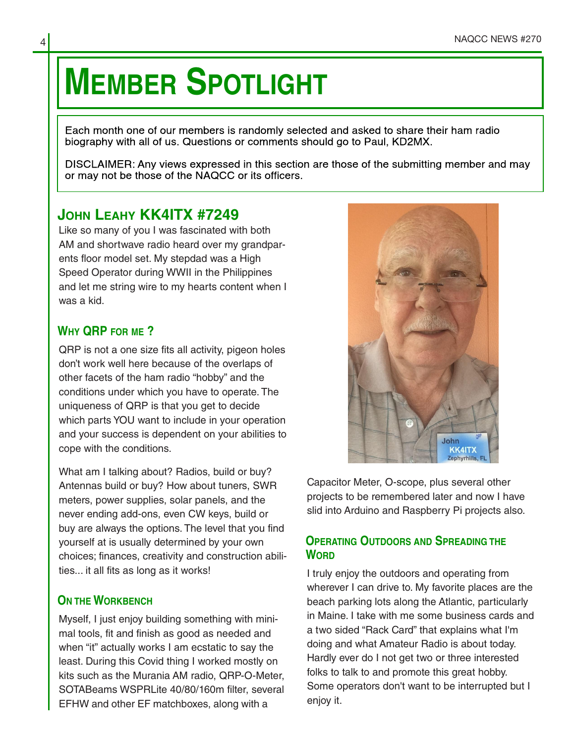# **MEMBER SPOTLIGHT**

Each month one of our members is randomly selected and asked to share their ham radio biography with all of us. Questions or comments should go to Paul, KD2MX.

DISCLAIMER: Any views expressed in this section are those of the submitting member and may or may not be those of the NAQCC or its officers.

## **JOHN LEAHY KK4ITX #7249**

Like so many of you I was fascinated with both AM and shortwave radio heard over my grandpar‐ ents floor model set. My stepdad was a High Speed Operator during WWII in the Philippines and let me string wire to my hearts content when I was a kid.

## **WHY QRP FOR ME ?**

QRP is not a one size fits all activity, pigeon holes don't work well here because of the overlaps of other facets of the ham radio "hobby" and the conditions under which you have to operate. The uniqueness of QRP is that you get to decide which parts YOU want to include in your operation and your success is dependent on your abilities to cope with the conditions.

What am I talking about? Radios, build or buy? Antennas build or buy? How about tuners, SWR meters, power supplies, solar panels, and the never ending add-ons, even CW keys, build or buy are always the options. The level that you find yourself at is usually determined by your own choices; finances, creativity and construction abili‐ ties... it all fits as long as it works!

## **ON THE WORKBENCH**

Myself, I just enjoy building something with mini‐ mal tools, fit and finish as good as needed and when "it" actually works I am ecstatic to say the least. During this Covid thing I worked mostly on kits such as the Murania AM radio, QRP-O-Meter, SOTABeams WSPRLite 40/80/160m filter, several EFHW and other EF matchboxes, along with a



Capacitor Meter, O-scope, plus several other projects to be remembered later and now I have slid into Arduino and Raspberry Pi projects also.

## **OPERATING OUTDOORS AND SPREADING THE WORD**

I truly enjoy the outdoors and operating from wherever I can drive to. My favorite places are the beach parking lots along the Atlantic, particularly in Maine. I take with me some business cards and a two sided "Rack Card" that explains what I'm doing and what Amateur Radio is about today. Hardly ever do I not get two or three interested folks to talk to and promote this great hobby. Some operators don't want to be interrupted but I enjoy it.